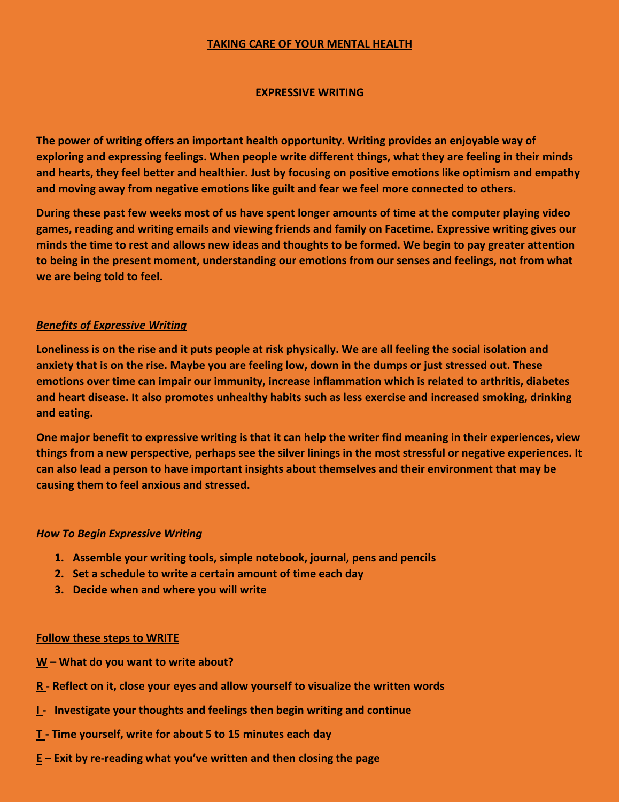## **TAKING CARE OF YOUR MENTAL HEALTH**

## **EXPRESSIVE WRITING**

**The power of writing offers an important health opportunity. Writing provides an enjoyable way of exploring and expressing feelings. When people write different things, what they are feeling in their minds and hearts, they feel better and healthier. Just by focusing on positive emotions like optimism and empathy and moving away from negative emotions like guilt and fear we feel more connected to others.** 

**During these past few weeks most of us have spent longer amounts of time at the computer playing video games, reading and writing emails and viewing friends and family on Facetime. Expressive writing gives our minds the time to rest and allows new ideas and thoughts to be formed. We begin to pay greater attention to being in the present moment, understanding our emotions from our senses and feelings, not from what we are being told to feel.** 

## *Benefits of Expressive Writing*

**Loneliness is on the rise and it puts people at risk physically. We are all feeling the social isolation and anxiety that is on the rise. Maybe you are feeling low, down in the dumps or just stressed out. These emotions over time can impair our immunity, increase inflammation which is related to arthritis, diabetes and heart disease. It also promotes unhealthy habits such as less exercise and increased smoking, drinking and eating.** 

**One major benefit to expressive writing is that it can help the writer find meaning in their experiences, view things from a new perspective, perhaps see the silver linings in the most stressful or negative experiences. It can also lead a person to have important insights about themselves and their environment that may be causing them to feel anxious and stressed.** 

#### *How To Begin Expressive Writing*

- **1. Assemble your writing tools, simple notebook, journal, pens and pencils**
- **2. Set a schedule to write a certain amount of time each day**
- **3. Decide when and where you will write**

#### **Follow these steps to WRITE**

- **W – What do you want to write about?**
- **R - Reflect on it, close your eyes and allow yourself to visualize the written words**
- **I Investigate your thoughts and feelings then begin writing and continue**
- **T - Time yourself, write for about 5 to 15 minutes each day**
- **E – Exit by re-reading what you've written and then closing the page**